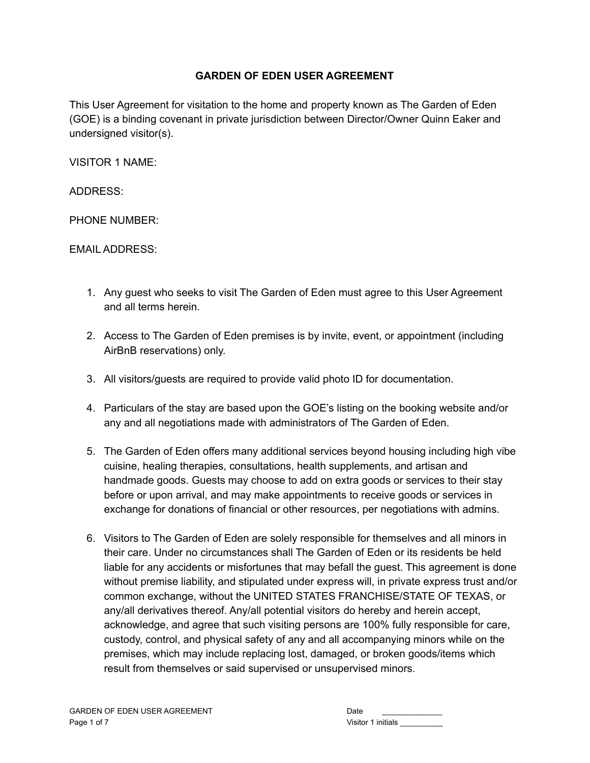## **GARDEN OF EDEN USER AGREEMENT**

This User Agreement for visitation to the home and property known as The Garden of Eden (GOE) is a binding covenant in private jurisdiction between Director/Owner Quinn Eaker and undersigned visitor(s).

VISITOR 1 NAME:

ADDRESS:

PHONE NUMBER:

EMAIL ADDRESS:

- 1. Any guest who seeks to visit The Garden of Eden must agree to this User Agreement and all terms herein.
- 2. Access to The Garden of Eden premises is by invite, event, or appointment (including AirBnB reservations) only.
- 3. All visitors/guests are required to provide valid photo ID for documentation.
- 4. Particulars of the stay are based upon the GOE's listing on the booking website and/or any and all negotiations made with administrators of The Garden of Eden.
- 5. The Garden of Eden offers many additional services beyond housing including high vibe cuisine, healing therapies, consultations, health supplements, and artisan and handmade goods. Guests may choose to add on extra goods or services to their stay before or upon arrival, and may make appointments to receive goods or services in exchange for donations of financial or other resources, per negotiations with admins.
- 6. Visitors to The Garden of Eden are solely responsible for themselves and all minors in their care. Under no circumstances shall The Garden of Eden or its residents be held liable for any accidents or misfortunes that may befall the guest. This agreement is done without premise liability, and stipulated under express will, in private express trust and/or common exchange, without the UNITED STATES FRANCHISE/STATE OF TEXAS, or any/all derivatives thereof. Any/all potential visitors do hereby and herein accept, acknowledge, and agree that such visiting persons are 100% fully responsible for care, custody, control, and physical safety of any and all accompanying minors while on the premises, which may include replacing lost, damaged, or broken goods/items which result from themselves or said supervised or unsupervised minors.

| Date               |
|--------------------|
| Visitor 1 initials |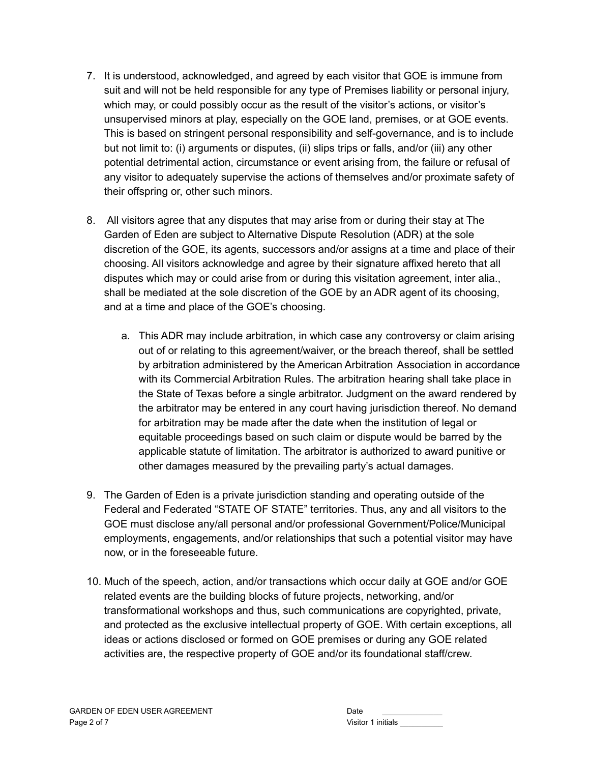- 7. It is understood, acknowledged, and agreed by each visitor that GOE is immune from suit and will not be held responsible for any type of Premises liability or personal injury, which may, or could possibly occur as the result of the visitor's actions, or visitor's unsupervised minors at play, especially on the GOE land, premises, or at GOE events. This is based on stringent personal responsibility and self-governance, and is to include but not limit to: (i) arguments or disputes, (ii) slips trips or falls, and/or (iii) any other potential detrimental action, circumstance or event arising from, the failure or refusal of any visitor to adequately supervise the actions of themselves and/or proximate safety of their offspring or, other such minors.
- 8. All visitors agree that any disputes that may arise from or during their stay at The Garden of Eden are subject to Alternative Dispute Resolution (ADR) at the sole discretion of the GOE, its agents, successors and/or assigns at a time and place of their choosing. All visitors acknowledge and agree by their signature affixed hereto that all disputes which may or could arise from or during this visitation agreement, inter alia., shall be mediated at the sole discretion of the GOE by an ADR agent of its choosing, and at a time and place of the GOE's choosing.
	- a. This ADR may include arbitration, in which case any controversy or claim arising out of or relating to this agreement/waiver, or the breach thereof, shall be settled by arbitration administered by the American Arbitration Association in accordance with its Commercial Arbitration Rules. The arbitration hearing shall take place in the State of Texas before a single arbitrator. Judgment on the award rendered by the arbitrator may be entered in any court having jurisdiction thereof. No demand for arbitration may be made after the date when the institution of legal or equitable proceedings based on such claim or dispute would be barred by the applicable statute of limitation. The arbitrator is authorized to award punitive or other damages measured by the prevailing party's actual damages.
- 9. The Garden of Eden is a private jurisdiction standing and operating outside of the Federal and Federated "STATE OF STATE" territories. Thus, any and all visitors to the GOE must disclose any/all personal and/or professional Government/Police/Municipal employments, engagements, and/or relationships that such a potential visitor may have now, or in the foreseeable future.
- 10. Much of the speech, action, and/or transactions which occur daily at GOE and/or GOE related events are the building blocks of future projects, networking, and/or transformational workshops and thus, such communications are copyrighted, private, and protected as the exclusive intellectual property of GOE. With certain exceptions, all ideas or actions disclosed or formed on GOE premises or during any GOE related activities are, the respective property of GOE and/or its foundational staff/crew.

| Date               |
|--------------------|
| Visitor 1 initials |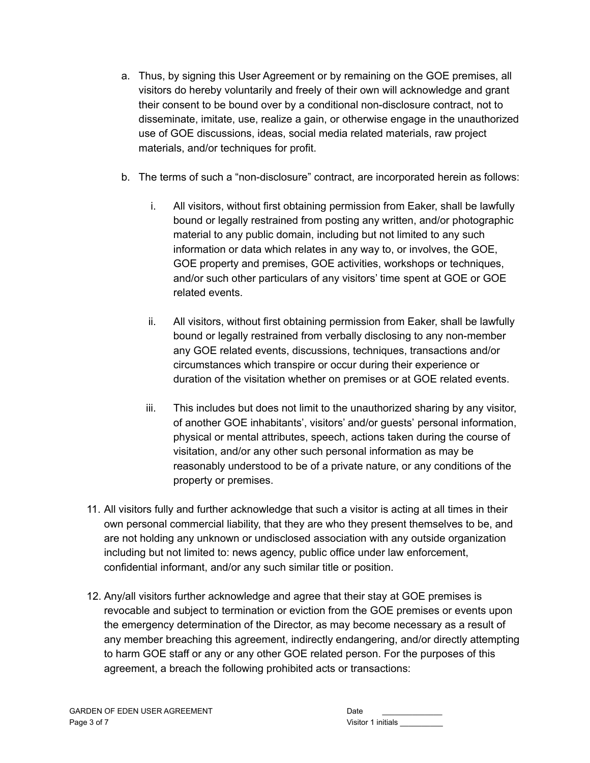- a. Thus, by signing this User Agreement or by remaining on the GOE premises, all visitors do hereby voluntarily and freely of their own will acknowledge and grant their consent to be bound over by a conditional non-disclosure contract, not to disseminate, imitate, use, realize a gain, or otherwise engage in the unauthorized use of GOE discussions, ideas, social media related materials, raw project materials, and/or techniques for profit.
- b. The terms of such a "non-disclosure" contract, are incorporated herein as follows:
	- i. All visitors, without first obtaining permission from Eaker, shall be lawfully bound or legally restrained from posting any written, and/or photographic material to any public domain, including but not limited to any such information or data which relates in any way to, or involves, the GOE, GOE property and premises, GOE activities, workshops or techniques, and/or such other particulars of any visitors' time spent at GOE or GOE related events.
	- ii. All visitors, without first obtaining permission from Eaker, shall be lawfully bound or legally restrained from verbally disclosing to any non-member any GOE related events, discussions, techniques, transactions and/or circumstances which transpire or occur during their experience or duration of the visitation whether on premises or at GOE related events.
	- iii. This includes but does not limit to the unauthorized sharing by any visitor, of another GOE inhabitants', visitors' and/or guests' personal information, physical or mental attributes, speech, actions taken during the course of visitation, and/or any other such personal information as may be reasonably understood to be of a private nature, or any conditions of the property or premises.
- 11. All visitors fully and further acknowledge that such a visitor is acting at all times in their own personal commercial liability, that they are who they present themselves to be, and are not holding any unknown or undisclosed association with any outside organization including but not limited to: news agency, public office under law enforcement, confidential informant, and/or any such similar title or position.
- 12. Any/all visitors further acknowledge and agree that their stay at GOE premises is revocable and subject to termination or eviction from the GOE premises or events upon the emergency determination of the Director, as may become necessary as a result of any member breaching this agreement, indirectly endangering, and/or directly attempting to harm GOE staff or any or any other GOE related person. For the purposes of this agreement, a breach the following prohibited acts or transactions:

| Date               |
|--------------------|
| Visitor 1 initials |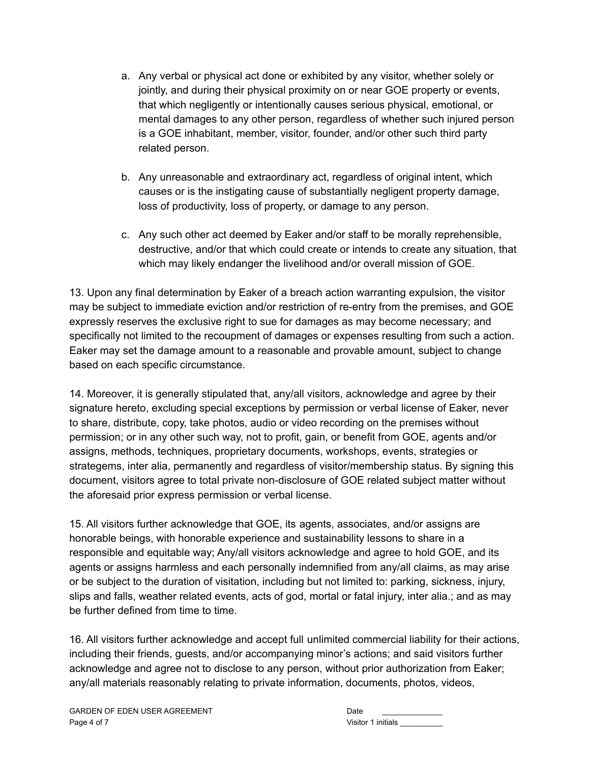- a. Any verbal or physical act done or exhibited by any visitor, whether solely or jointly, and during their physical proximity on or near GOE property or events, that which negligently or intentionally causes serious physical, emotional, or mental damages to any other person, regardless of whether such injured person is a GOE inhabitant, member, visitor, founder, and/or other such third party related person.
- b. Any unreasonable and extraordinary act, regardless of original intent, which causes or is the instigating cause of substantially negligent property damage, loss of productivity, loss of property, or damage to any person.
- c. Any such other act deemed by Eaker and/or staff to be morally reprehensible, destructive, and/or that which could create or intends to create any situation, that which may likely endanger the livelihood and/or overall mission of GOE.

13. Upon any final determination by Eaker of a breach action warranting expulsion, the visitor may be subject to immediate eviction and/or restriction of re-entry from the premises, and GOE expressly reserves the exclusive right to sue for damages as may become necessary; and specifically not limited to the recoupment of damages or expenses resulting from such a action. Eaker may set the damage amount to a reasonable and provable amount, subject to change based on each specific circumstance.

14. Moreover, it is generally stipulated that, any/all visitors, acknowledge and agree by their signature hereto, excluding special exceptions by permission or verbal license of Eaker, never to share, distribute, copy, take photos, audio or video recording on the premises without permission; or in any other such way, not to profit, gain, or benefit from GOE, agents and/or assigns, methods, techniques, proprietary documents, workshops, events, strategies or strategems, inter alia, permanently and regardless of visitor/membership status. By signing this document, visitors agree to total private non-disclosure of GOE related subject matter without the aforesaid prior express permission or verbal license.

15. All visitors further acknowledge that GOE, its agents, associates, and/or assigns are honorable beings, with honorable experience and sustainability lessons to share in a responsible and equitable way; Any/all visitors acknowledge and agree to hold GOE, and its agents or assigns harmless and each personally indemnified from any/all claims, as may arise or be subject to the duration of visitation, including but not limited to: parking, sickness, injury, slips and falls, weather related events, acts of god, mortal or fatal injury, inter alia.; and as may be further defined from time to time.

16. All visitors further acknowledge and accept full unlimited commercial liability for their actions, including their friends, guests, and/or accompanying minor's actions; and said visitors further acknowledge and agree not to disclose to any person, without prior authorization from Eaker; any/all materials reasonably relating to private information, documents, photos, videos,

| Date               |  |
|--------------------|--|
| Visitor 1 initials |  |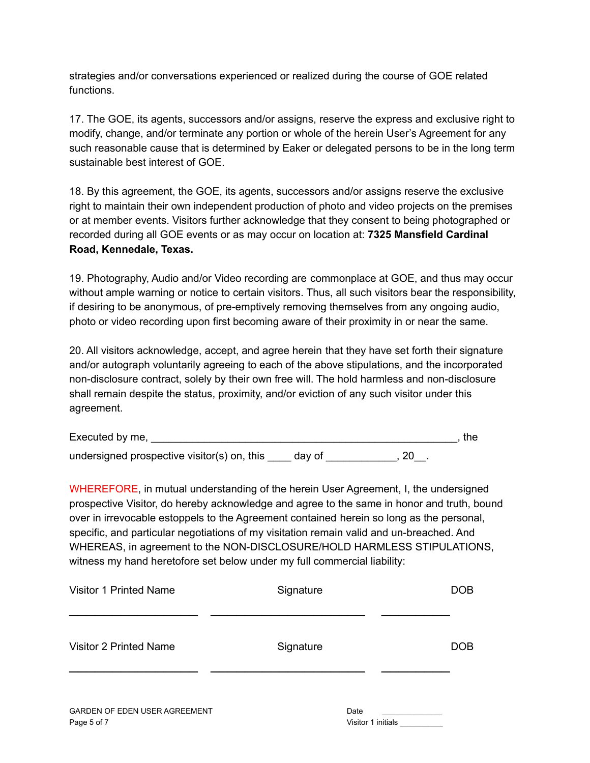strategies and/or conversations experienced or realized during the course of GOE related functions.

17. The GOE, its agents, successors and/or assigns, reserve the express and exclusive right to modify, change, and/or terminate any portion or whole of the herein User's Agreement for any such reasonable cause that is determined by Eaker or delegated persons to be in the long term sustainable best interest of GOE.

18. By this agreement, the GOE, its agents, successors and/or assigns reserve the exclusive right to maintain their own independent production of photo and video projects on the premises or at member events. Visitors further acknowledge that they consent to being photographed or recorded during all GOE events or as may occur on location at: **7325 Mansfield Cardinal Road, Kennedale, Texas.**

19. Photography, Audio and/or Video recording are commonplace at GOE, and thus may occur without ample warning or notice to certain visitors. Thus, all such visitors bear the responsibility, if desiring to be anonymous, of pre-emptively removing themselves from any ongoing audio, photo or video recording upon first becoming aware of their proximity in or near the same.

20. All visitors acknowledge, accept, and agree herein that they have set forth their signature and/or autograph voluntarily agreeing to each of the above stipulations, and the incorporated non-disclosure contract, solely by their own free will. The hold harmless and non-disclosure shall remain despite the status, proximity, and/or eviction of any such visitor under this agreement.

| Executed by me,                             |        | the |
|---------------------------------------------|--------|-----|
| undersigned prospective visitor(s) on, this | dav of |     |

WHEREFORE, in mutual understanding of the herein User Agreement, I, the undersigned prospective Visitor, do hereby acknowledge and agree to the same in honor and truth, bound over in irrevocable estoppels to the Agreement contained herein so long as the personal, specific, and particular negotiations of my visitation remain valid and un-breached. And WHEREAS, in agreement to the NON-DISCLOSURE/HOLD HARMLESS STIPULATIONS, witness my hand heretofore set below under my full commercial liability:

| <b>Visitor 1 Printed Name</b> | Signature | <b>DOB</b> |
|-------------------------------|-----------|------------|
| Visitor 2 Printed Name        | Signature | <b>DOB</b> |
| GARDEN OF EDEN USER AGREEMENT | Date      |            |

| Date               |  |  |  |
|--------------------|--|--|--|
| Visitor 1 initials |  |  |  |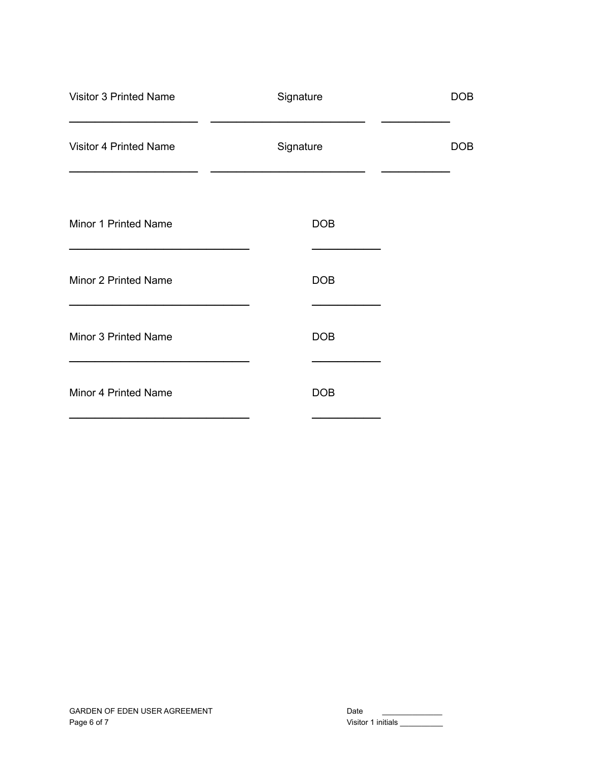| Signature  | <b>DOB</b> |
|------------|------------|
| Signature  | <b>DOB</b> |
| <b>DOB</b> |            |
| <b>DOB</b> |            |
| <b>DOB</b> |            |
| <b>DOB</b> |            |
|            |            |

| Date               |  |  |
|--------------------|--|--|
| Visitor 1 initials |  |  |